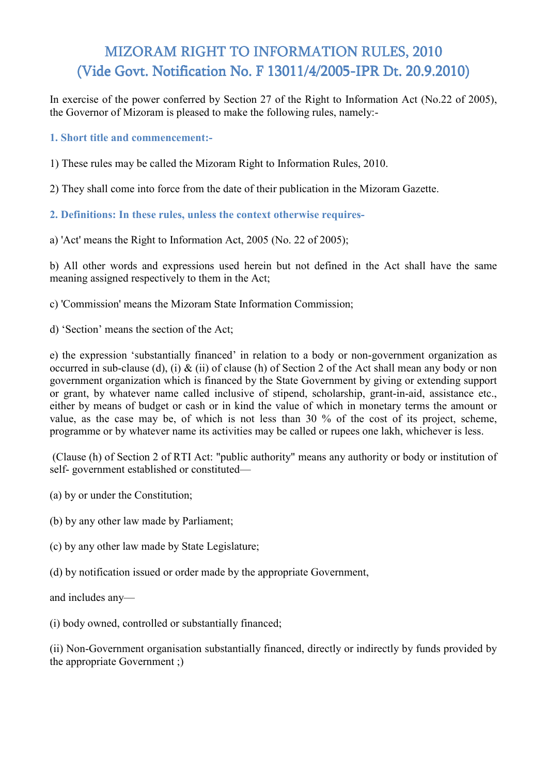# MIZORAM RIGHT TO INFORMATION RULES, 2010 (Vide Govt. Notification No. F 13011/4/2005-IPR Dt. 20.9.2010)

In exercise of the power conferred by Section 27 of the Right to Information Act (No.22 of 2005), the Governor of Mizoram is pleased to make the following rules, namely:-

**1. Short title and commencement:-**

1) These rules may be called the Mizoram Right to Information Rules, 2010.

2) They shall come into force from the date of their publication in the Mizoram Gazette.

**2. Definitions: In these rules, unless the context otherwise requires-**

a) 'Act' means the Right to Information Act, 2005 (No. 22 of 2005);

b) All other words and expressions used herein but not defined in the Act shall have the same meaning assigned respectively to them in the Act;

c) 'Commission' means the Mizoram State Information Commission;

d) 'Section' means the section of the Act;

e) the expression 'substantially financed' in relation to a body or non-government organization as occurred in sub-clause (d), (i) & (ii) of clause (h) of Section 2 of the Act shall mean any body or non government organization which is financed by the State Government by giving or extending support or grant, by whatever name called inclusive of stipend, scholarship, grant-in-aid, assistance etc., either by means of budget or cash or in kind the value of which in monetary terms the amount or value, as the case may be, of which is not less than 30 % of the cost of its project, scheme, programme or by whatever name its activities may be called or rupees one lakh, whichever is less.

 (Clause (h) of Section 2 of RTI Act: "public authority" means any authority or body or institution of self- government established or constituted—

(a) by or under the Constitution;

(b) by any other law made by Parliament;

(c) by any other law made by State Legislature;

(d) by notification issued or order made by the appropriate Government,

and includes any—

(i) body owned, controlled or substantially financed;

(ii) Non-Government organisation substantially financed, directly or indirectly by funds provided by the appropriate Government ;)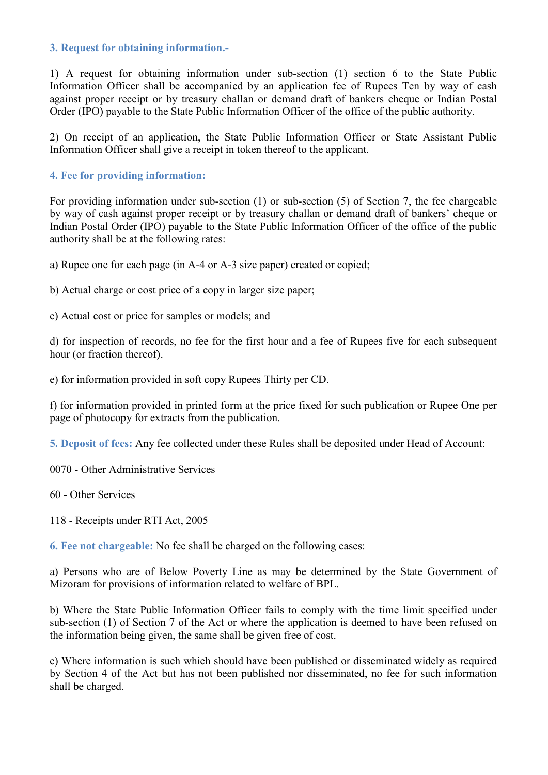#### **3. Request for obtaining information.-**

1) A request for obtaining information under sub-section (1) section 6 to the State Public Information Officer shall be accompanied by an application fee of Rupees Ten by way of cash against proper receipt or by treasury challan or demand draft of bankers cheque or Indian Postal Order (IPO) payable to the State Public Information Officer of the office of the public authority.

2) On receipt of an application, the State Public Information Officer or State Assistant Public Information Officer shall give a receipt in token thereof to the applicant.

### **4. Fee for providing information:**

For providing information under sub-section (1) or sub-section (5) of Section 7, the fee chargeable by way of cash against proper receipt or by treasury challan or demand draft of bankers' cheque or Indian Postal Order (IPO) payable to the State Public Information Officer of the office of the public authority shall be at the following rates:

a) Rupee one for each page (in A-4 or A-3 size paper) created or copied;

b) Actual charge or cost price of a copy in larger size paper;

c) Actual cost or price for samples or models; and

d) for inspection of records, no fee for the first hour and a fee of Rupees five for each subsequent hour (or fraction thereof).

e) for information provided in soft copy Rupees Thirty per CD.

f) for information provided in printed form at the price fixed for such publication or Rupee One per page of photocopy for extracts from the publication.

**5. Deposit of fees:** Any fee collected under these Rules shall be deposited under Head of Account:

0070 - Other Administrative Services

60 - Other Services

118 - Receipts under RTI Act, 2005

**6. Fee not chargeable:** No fee shall be charged on the following cases:

a) Persons who are of Below Poverty Line as may be determined by the State Government of Mizoram for provisions of information related to welfare of BPL.

b) Where the State Public Information Officer fails to comply with the time limit specified under sub-section (1) of Section 7 of the Act or where the application is deemed to have been refused on the information being given, the same shall be given free of cost.

c) Where information is such which should have been published or disseminated widely as required by Section 4 of the Act but has not been published nor disseminated, no fee for such information shall be charged.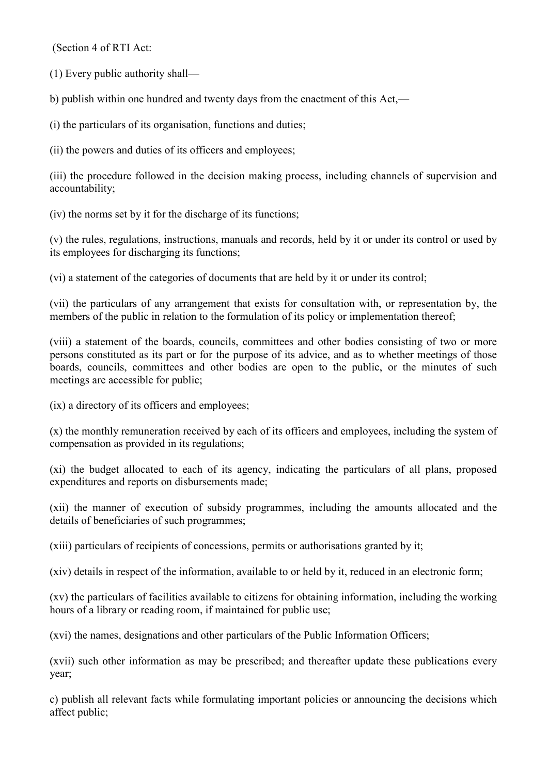(Section 4 of RTI Act:

(1) Every public authority shall—

b) publish within one hundred and twenty days from the enactment of this Act,—

(i) the particulars of its organisation, functions and duties;

(ii) the powers and duties of its officers and employees;

(iii) the procedure followed in the decision making process, including channels of supervision and accountability;

(iv) the norms set by it for the discharge of its functions;

(v) the rules, regulations, instructions, manuals and records, held by it or under its control or used by its employees for discharging its functions;

(vi) a statement of the categories of documents that are held by it or under its control;

(vii) the particulars of any arrangement that exists for consultation with, or representation by, the members of the public in relation to the formulation of its policy or implementation thereof;

(viii) a statement of the boards, councils, committees and other bodies consisting of two or more persons constituted as its part or for the purpose of its advice, and as to whether meetings of those boards, councils, committees and other bodies are open to the public, or the minutes of such meetings are accessible for public;

(ix) a directory of its officers and employees;

(x) the monthly remuneration received by each of its officers and employees, including the system of compensation as provided in its regulations;

(xi) the budget allocated to each of its agency, indicating the particulars of all plans, proposed expenditures and reports on disbursements made;

(xii) the manner of execution of subsidy programmes, including the amounts allocated and the details of beneficiaries of such programmes;

(xiii) particulars of recipients of concessions, permits or authorisations granted by it;

(xiv) details in respect of the information, available to or held by it, reduced in an electronic form;

(xv) the particulars of facilities available to citizens for obtaining information, including the working hours of a library or reading room, if maintained for public use:

(xvi) the names, designations and other particulars of the Public Information Officers;

(xvii) such other information as may be prescribed; and thereafter update these publications every year;

c) publish all relevant facts while formulating important policies or announcing the decisions which affect public;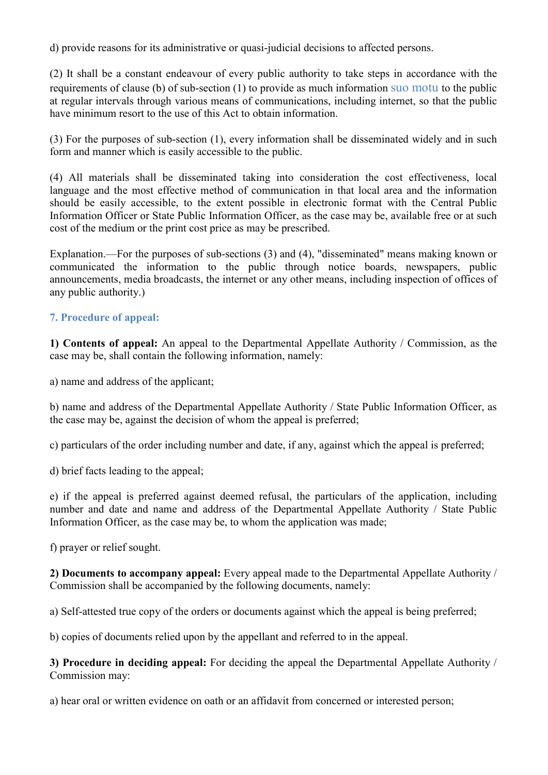d) provide reasons for its administrative or quasi-judicial decisions to affected persons.

(2) It shall be a constant endeavour of every public authority to take steps in accordance with the requirements of clause (b) of sub-section (1) to provide as much information suo motu to the public at regular intervals through various means of communications, including internet, so that the public have minimum resort to the use of this Act to obtain information.

(3) For the purposes of sub-section (1), every information shall be disseminated widely and in such form and manner which is easily accessible to the public.

(4) All materials shall be disseminated taking into consideration the cost effectiveness, local language and the most effective method of communication in that local area and the information should be easily accessible, to the extent possible in electronic format with the Central Public Information Officer or State Public Information Officer, as the case may be, available free or at such cost of the medium or the print cost price as may be prescribed.

Explanation.—For the purposes of sub-sections (3) and (4), "disseminated" means making known or communicated the information to the public through notice boards, newspapers, public announcements, media broadcasts, the internet or any other means, including inspection of offices of any public authority.)

## **7. Procedure of appeal:**

**1) Contents of appeal:** An appeal to the Departmental Appellate Authority / Commission, as the case may be, shall contain the following information, namely:

a) name and address of the applicant;

b) name and address of the Departmental Appellate Authority / State Public Information Officer, as the case may be, against the decision of whom the appeal is preferred;

c) particulars of the order including number and date, if any, against which the appeal is preferred;

d) brief facts leading to the appeal;

e) if the appeal is preferred against deemed refusal, the particulars of the application, including number and date and name and address of the Departmental Appellate Authority / State Public Information Officer, as the case may be, to whom the application was made;

f) prayer or relief sought.

**2) Documents to accompany appeal:** Every appeal made to the Departmental Appellate Authority / Commission shall be accompanied by the following documents, namely:

a) Self-attested true copy of the orders or documents against which the appeal is being preferred;

b) copies of documents relied upon by the appellant and referred to in the appeal.

**3) Procedure in deciding appeal:** For deciding the appeal the Departmental Appellate Authority / Commission may:

a) hear oral or written evidence on oath or an affidavit from concerned or interested person;